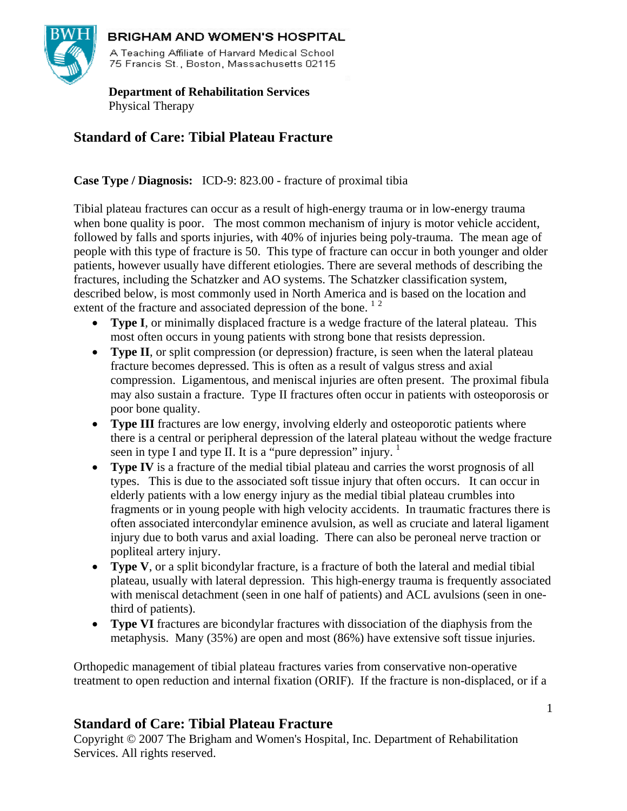

### **BRIGHAM AND WOMEN'S HOSPITAL**

A Teaching Affiliate of Harvard Medical School 75 Francis St., Boston, Massachusetts 02115

 **Department of Rehabilitation Services**  Physical Therapy

# **Standard of Care: Tibial Plateau Fracture**

**Case Type / Diagnosis:** ICD-9: 823.00 - fracture of proximal tibia

Tibial plateau fractures can occur as a result of high-energy trauma or in low-energy trauma when bone quality is poor. The most common mechanism of injury is motor vehicle accident, followed by falls and sports injuries, with 40% of injuries being poly-trauma. The mean age of people with this type of fracture is 50. This type of fracture can occur in both younger and older patients, however usually have different etiologies. There are several methods of describing the fractures, including the Schatzker and AO systems. The Schatzker classification system, described below, is most commonly used in North America and is based on the location and extent of the fracture and associated depression of the bone.<sup>12</sup>

- **Type I**, or minimally displaced fracture is a wedge fracture of the lateral plateau. This most often occurs in young patients with strong bone that resists depression.
- **Type II**, or split compression (or depression) fracture, is seen when the lateral plateau fracture becomes depressed. This is often as a result of valgus stress and axial compression. Ligamentous, and meniscal injuries are often present. The proximal fibula may also sustain a fracture. Type II fractures often occur in patients with osteoporosis or poor bone quality.
- **Type III** fractures are low energy, involving elderly and osteoporotic patients where there is a central or peripheral depression of the lateral plateau without the wedge fracture seen in type I and type II. It is a "pure depression" injury.  $1$
- **Type IV** is a fracture of the medial tibial plateau and carries the worst prognosis of all types. This is due to the associated soft tissue injury that often occurs. It can occur in elderly patients with a low energy injury as the medial tibial plateau crumbles into fragments or in young people with high velocity accidents. In traumatic fractures there is often associated intercondylar eminence avulsion, as well as cruciate and lateral ligament injury due to both varus and axial loading. There can also be peroneal nerve traction or popliteal artery injury.
- **Type V**, or a split bicondylar fracture, is a fracture of both the lateral and medial tibial plateau, usually with lateral depression. This high-energy trauma is frequently associated with meniscal detachment (seen in one half of patients) and ACL avulsions (seen in onethird of patients).
- **Type VI** fractures are bicondylar fractures with dissociation of the diaphysis from the metaphysis. Many (35%) are open and most (86%) have extensive soft tissue injuries.

Orthopedic management of tibial plateau fractures varies from conservative non-operative treatment to open reduction and internal fixation (ORIF). If the fracture is non-displaced, or if a

## **Standard of Care: Tibial Plateau Fracture**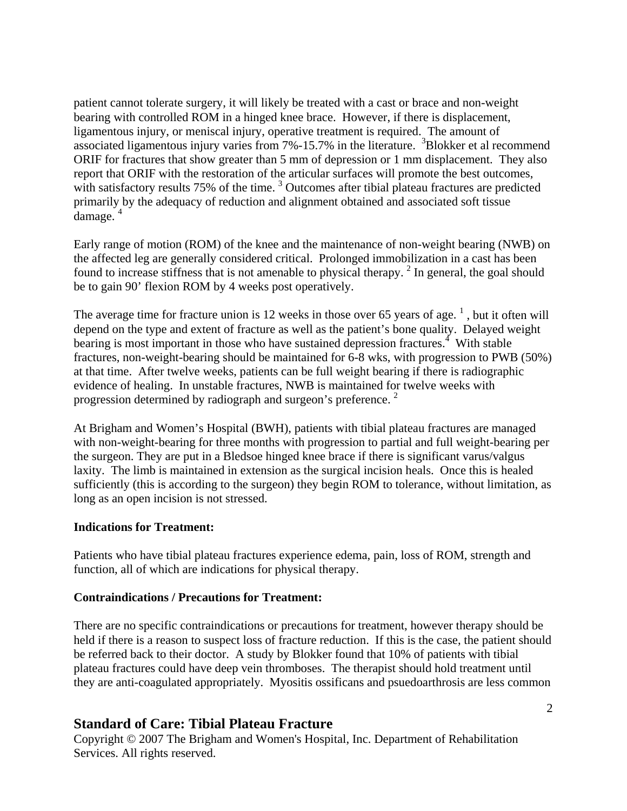patient cannot tolerate surgery, it will likely be treated with a cast or brace and non-weight bearing with controlled ROM in a hinged knee brace. However, if there is displacement, ligamentous injury, or meniscal injury, operative treatment is required. The amount of associated ligamentous injury varies from  $7\% -15.7\%$  in the literature.  $3B$ lokker et al recommend ORIF for fractures that show greater than 5 mm of depression or 1 mm displacement. They also report that ORIF with the restoration of the articular surfaces will promote the best outcomes, with satisfactory results 75% of the time.<sup>3</sup> Outcomes after tibial plateau fractures are predicted primarily by the adequacy of reduction and alignment obtained and associated soft tissue  $d$ amage.<sup>4</sup>

Early range of motion (ROM) of the knee and the maintenance of non-weight bearing (NWB) on the affected leg are generally considered critical. Prolonged immobilization in a cast has been found to increase stiffness that is not amenable to physical therapy.<sup>2</sup> In general, the goal should be to gain 90' flexion ROM by 4 weeks post operatively.

The average time for fracture union is 12 weeks in those over 65 years of age.<sup>1</sup>, but it often will depend on the type and extent of fracture as well as the patient's bone quality. Delayed weight bearing is most important in those who have sustained depression fractures.<sup>4</sup> With stable fractures, non-weight-bearing should be maintained for 6-8 wks, with progression to PWB (50%) at that time. After twelve weeks, patients can be full weight bearing if there is radiographic evidence of healing. In unstable fractures, NWB is maintained for twelve weeks with progression determined by radiograph and surgeon's preference.<sup>2</sup>

At Brigham and Women's Hospital (BWH), patients with tibial plateau fractures are managed with non-weight-bearing for three months with progression to partial and full weight-bearing per the surgeon. They are put in a Bledsoe hinged knee brace if there is significant varus/valgus laxity. The limb is maintained in extension as the surgical incision heals. Once this is healed sufficiently (this is according to the surgeon) they begin ROM to tolerance, without limitation, as long as an open incision is not stressed.

#### **Indications for Treatment:**

Patients who have tibial plateau fractures experience edema, pain, loss of ROM, strength and function, all of which are indications for physical therapy.

#### **Contraindications / Precautions for Treatment:**

There are no specific contraindications or precautions for treatment, however therapy should be held if there is a reason to suspect loss of fracture reduction. If this is the case, the patient should be referred back to their doctor. A study by Blokker found that 10% of patients with tibial plateau fractures could have deep vein thromboses. The therapist should hold treatment until they are anti-coagulated appropriately. Myositis ossificans and psuedoarthrosis are less common

### **Standard of Care: Tibial Plateau Fracture**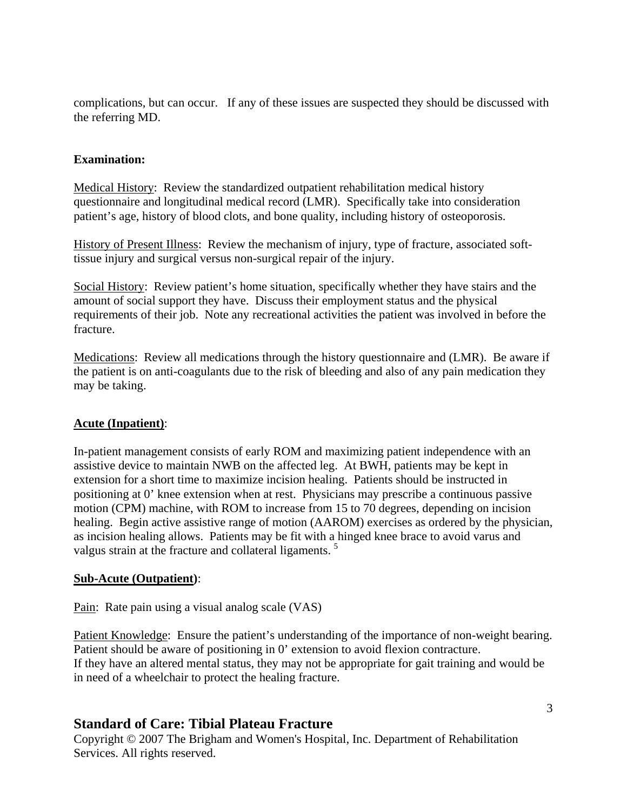complications, but can occur. If any of these issues are suspected they should be discussed with the referring MD.

#### **Examination:**

Medical History: Review the standardized outpatient rehabilitation medical history questionnaire and longitudinal medical record (LMR). Specifically take into consideration patient's age, history of blood clots, and bone quality, including history of osteoporosis.

History of Present Illness: Review the mechanism of injury, type of fracture, associated softtissue injury and surgical versus non-surgical repair of the injury.

Social History: Review patient's home situation, specifically whether they have stairs and the amount of social support they have. Discuss their employment status and the physical requirements of their job. Note any recreational activities the patient was involved in before the fracture.

Medications: Review all medications through the history questionnaire and (LMR). Be aware if the patient is on anti-coagulants due to the risk of bleeding and also of any pain medication they may be taking.

#### **Acute (Inpatient)**:

In-patient management consists of early ROM and maximizing patient independence with an assistive device to maintain NWB on the affected leg. At BWH, patients may be kept in extension for a short time to maximize incision healing. Patients should be instructed in positioning at 0' knee extension when at rest. Physicians may prescribe a continuous passive motion (CPM) machine, with ROM to increase from 15 to 70 degrees, depending on incision healing. Begin active assistive range of motion (AAROM) exercises as ordered by the physician, as incision healing allows. Patients may be fit with a hinged knee brace to avoid varus and valgus strain at the fracture and collateral ligaments.<sup>5</sup>

#### **Sub-Acute (Outpatient)**:

Pain: Rate pain using a visual analog scale (VAS)

Patient Knowledge: Ensure the patient's understanding of the importance of non-weight bearing. Patient should be aware of positioning in 0' extension to avoid flexion contracture. If they have an altered mental status, they may not be appropriate for gait training and would be in need of a wheelchair to protect the healing fracture.

### **Standard of Care: Tibial Plateau Fracture**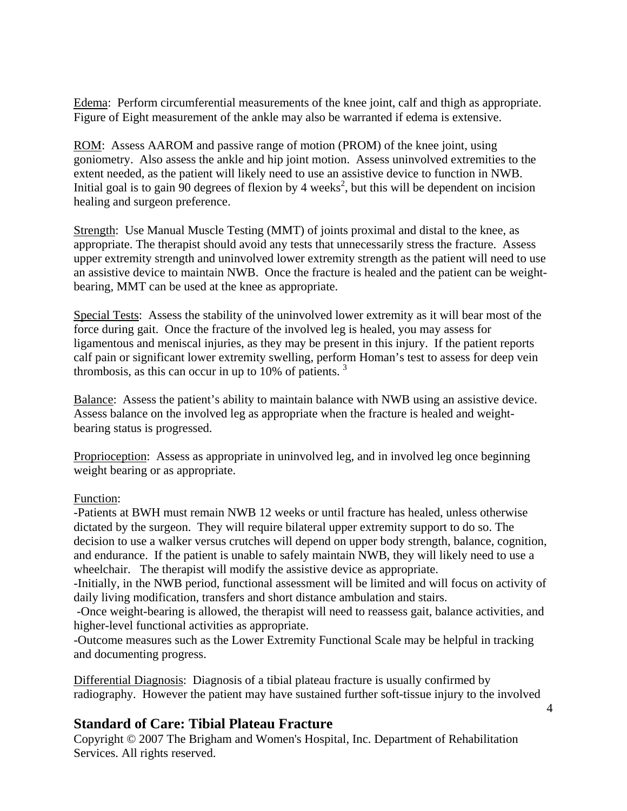Edema: Perform circumferential measurements of the knee joint, calf and thigh as appropriate. Figure of Eight measurement of the ankle may also be warranted if edema is extensive.

ROM: Assess AAROM and passive range of motion (PROM) of the knee joint, using goniometry. Also assess the ankle and hip joint motion. Assess uninvolved extremities to the extent needed, as the patient will likely need to use an assistive device to function in NWB. Initial goal is to gain 90 degrees of flexion by 4 weeks<sup>2</sup>, but this will be dependent on incision healing and surgeon preference.

Strength: Use Manual Muscle Testing (MMT) of joints proximal and distal to the knee, as appropriate. The therapist should avoid any tests that unnecessarily stress the fracture. Assess upper extremity strength and uninvolved lower extremity strength as the patient will need to use an assistive device to maintain NWB. Once the fracture is healed and the patient can be weightbearing, MMT can be used at the knee as appropriate.

Special Tests: Assess the stability of the uninvolved lower extremity as it will bear most of the force during gait. Once the fracture of the involved leg is healed, you may assess for ligamentous and meniscal injuries, as they may be present in this injury. If the patient reports calf pain or significant lower extremity swelling, perform Homan's test to assess for deep vein thrombosis, as this can occur in up to  $10\%$  of patients.<sup>3</sup>

Balance: Assess the patient's ability to maintain balance with NWB using an assistive device. Assess balance on the involved leg as appropriate when the fracture is healed and weightbearing status is progressed.

Proprioception: Assess as appropriate in uninvolved leg, and in involved leg once beginning weight bearing or as appropriate.

#### Function:

-Patients at BWH must remain NWB 12 weeks or until fracture has healed, unless otherwise dictated by the surgeon. They will require bilateral upper extremity support to do so. The decision to use a walker versus crutches will depend on upper body strength, balance, cognition, and endurance. If the patient is unable to safely maintain NWB, they will likely need to use a wheelchair. The therapist will modify the assistive device as appropriate.

-Initially, in the NWB period, functional assessment will be limited and will focus on activity of daily living modification, transfers and short distance ambulation and stairs.

 -Once weight-bearing is allowed, the therapist will need to reassess gait, balance activities, and higher-level functional activities as appropriate.

-Outcome measures such as the Lower Extremity Functional Scale may be helpful in tracking and documenting progress.

Differential Diagnosis: Diagnosis of a tibial plateau fracture is usually confirmed by radiography. However the patient may have sustained further soft-tissue injury to the involved

### **Standard of Care: Tibial Plateau Fracture**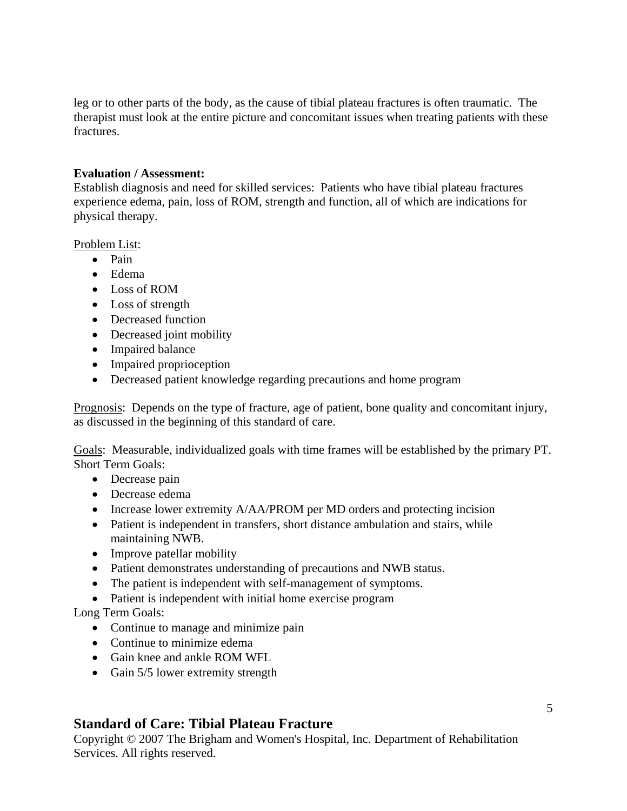leg or to other parts of the body, as the cause of tibial plateau fractures is often traumatic. The therapist must look at the entire picture and concomitant issues when treating patients with these fractures.

#### **Evaluation / Assessment:**

Establish diagnosis and need for skilled services: Patients who have tibial plateau fractures experience edema, pain, loss of ROM, strength and function, all of which are indications for physical therapy.

Problem List:

- Pain
- Edema
- Loss of ROM
- Loss of strength
- Decreased function
- Decreased joint mobility
- Impaired balance
- Impaired proprioception
- Decreased patient knowledge regarding precautions and home program

Prognosis: Depends on the type of fracture, age of patient, bone quality and concomitant injury, as discussed in the beginning of this standard of care.

Goals: Measurable, individualized goals with time frames will be established by the primary PT. Short Term Goals:

- Decrease pain
- Decrease edema
- Increase lower extremity A/AA/PROM per MD orders and protecting incision
- Patient is independent in transfers, short distance ambulation and stairs, while maintaining NWB.
- Improve patellar mobility
- Patient demonstrates understanding of precautions and NWB status.
- The patient is independent with self-management of symptoms.
- Patient is independent with initial home exercise program

Long Term Goals:

- Continue to manage and minimize pain
- Continue to minimize edema
- Gain knee and ankle ROM WFL
- Gain 5/5 lower extremity strength

## **Standard of Care: Tibial Plateau Fracture**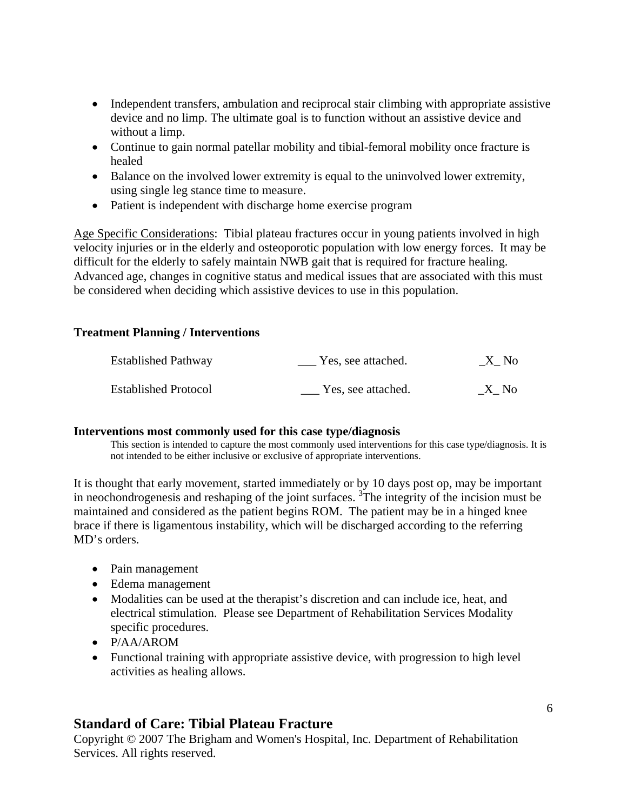- Independent transfers, ambulation and reciprocal stair climbing with appropriate assistive device and no limp. The ultimate goal is to function without an assistive device and without a limp.
- Continue to gain normal patellar mobility and tibial-femoral mobility once fracture is healed
- Balance on the involved lower extremity is equal to the uninvolved lower extremity, using single leg stance time to measure.
- Patient is independent with discharge home exercise program

Age Specific Considerations: Tibial plateau fractures occur in young patients involved in high velocity injuries or in the elderly and osteoporotic population with low energy forces. It may be difficult for the elderly to safely maintain NWB gait that is required for fracture healing. Advanced age, changes in cognitive status and medical issues that are associated with this must be considered when deciding which assistive devices to use in this population.

### **Treatment Planning / Interventions**

| <b>Established Pathway</b>  | Yes, see attached. | $\_X\_No$ |
|-----------------------------|--------------------|-----------|
| <b>Established Protocol</b> | Yes, see attached. | X No      |

#### **Interventions most commonly used for this case type/diagnosis**

This section is intended to capture the most commonly used interventions for this case type/diagnosis. It is not intended to be either inclusive or exclusive of appropriate interventions.

It is thought that early movement, started immediately or by 10 days post op, may be important in neochondrogenesis and reshaping of the joint surfaces. 3 The integrity of the incision must be maintained and considered as the patient begins ROM. The patient may be in a hinged knee brace if there is ligamentous instability, which will be discharged according to the referring MD's orders.

- Pain management
- Edema management
- Modalities can be used at the therapist's discretion and can include ice, heat, and electrical stimulation. Please see Department of Rehabilitation Services Modality specific procedures.
- P/AA/AROM
- Functional training with appropriate assistive device, with progression to high level activities as healing allows.

## **Standard of Care: Tibial Plateau Fracture**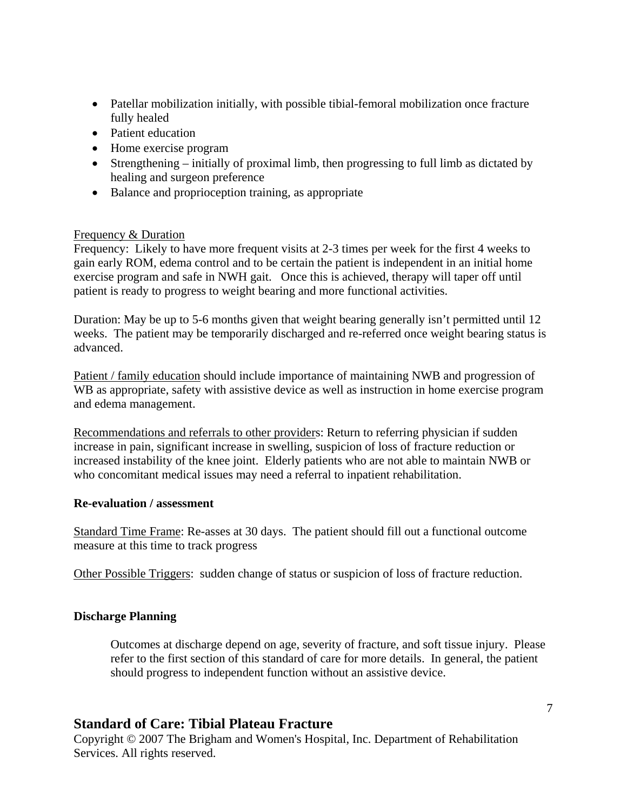- Patellar mobilization initially, with possible tibial-femoral mobilization once fracture fully healed
- Patient education
- Home exercise program
- Strengthening initially of proximal limb, then progressing to full limb as dictated by healing and surgeon preference
- Balance and proprioception training, as appropriate

#### Frequency & Duration

Frequency: Likely to have more frequent visits at 2-3 times per week for the first 4 weeks to gain early ROM, edema control and to be certain the patient is independent in an initial home exercise program and safe in NWH gait. Once this is achieved, therapy will taper off until patient is ready to progress to weight bearing and more functional activities.

Duration: May be up to 5-6 months given that weight bearing generally isn't permitted until 12 weeks. The patient may be temporarily discharged and re-referred once weight bearing status is advanced.

Patient / family education should include importance of maintaining NWB and progression of WB as appropriate, safety with assistive device as well as instruction in home exercise program and edema management.

Recommendations and referrals to other providers: Return to referring physician if sudden increase in pain, significant increase in swelling, suspicion of loss of fracture reduction or increased instability of the knee joint. Elderly patients who are not able to maintain NWB or who concomitant medical issues may need a referral to inpatient rehabilitation.

#### **Re-evaluation / assessment**

Standard Time Frame: Re-asses at 30 days. The patient should fill out a functional outcome measure at this time to track progress

Other Possible Triggers: sudden change of status or suspicion of loss of fracture reduction.

#### **Discharge Planning**

Outcomes at discharge depend on age, severity of fracture, and soft tissue injury. Please refer to the first section of this standard of care for more details. In general, the patient should progress to independent function without an assistive device.

### **Standard of Care: Tibial Plateau Fracture**